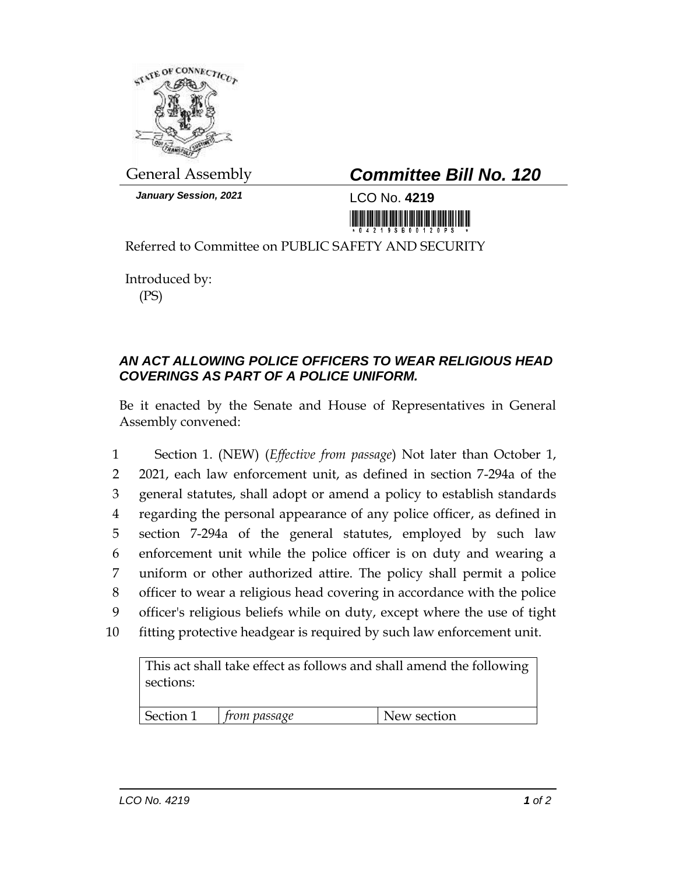

*January Session, 2021* LCO No. **4219**

## General Assembly *Committee Bill No. 120*

Referred to Committee on PUBLIC SAFETY AND SECURITY

Introduced by: (PS)

## *AN ACT ALLOWING POLICE OFFICERS TO WEAR RELIGIOUS HEAD COVERINGS AS PART OF A POLICE UNIFORM.*

Be it enacted by the Senate and House of Representatives in General Assembly convened:

 Section 1. (NEW) (*Effective from passage*) Not later than October 1, 2021, each law enforcement unit, as defined in section 7-294a of the general statutes, shall adopt or amend a policy to establish standards regarding the personal appearance of any police officer, as defined in section 7-294a of the general statutes, employed by such law enforcement unit while the police officer is on duty and wearing a uniform or other authorized attire. The policy shall permit a police officer to wear a religious head covering in accordance with the police officer's religious beliefs while on duty, except where the use of tight fitting protective headgear is required by such law enforcement unit.

This act shall take effect as follows and shall amend the following sections:

| Section 1 | trom passage | New section |
|-----------|--------------|-------------|
|-----------|--------------|-------------|